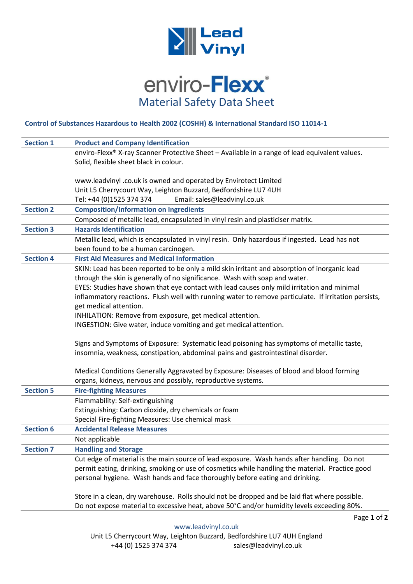

## enviro-Flexx® Material Safety Data Sheet

## **Control of Substances Hazardous to Health 2002 (COSHH) & International Standard ISO 11014-1**

| <b>Product and Company Identification</b>                                                            |
|------------------------------------------------------------------------------------------------------|
| enviro-Flexx® X-ray Scanner Protective Sheet - Available in a range of lead equivalent values.       |
| Solid, flexible sheet black in colour.                                                               |
|                                                                                                      |
| www.leadvinyl .co.uk is owned and operated by Envirotect Limited                                     |
| Unit L5 Cherrycourt Way, Leighton Buzzard, Bedfordshire LU7 4UH                                      |
| Tel: +44 (0)1525 374 374<br>Email: sales@leadvinyl.co.uk                                             |
| <b>Composition/Information on Ingredients</b>                                                        |
| Composed of metallic lead, encapsulated in vinyl resin and plasticiser matrix.                       |
| <b>Hazards Identification</b>                                                                        |
| Metallic lead, which is encapsulated in vinyl resin. Only hazardous if ingested. Lead has not        |
| been found to be a human carcinogen.                                                                 |
| <b>First Aid Measures and Medical Information</b>                                                    |
| SKIN: Lead has been reported to be only a mild skin irritant and absorption of inorganic lead        |
| through the skin is generally of no significance. Wash with soap and water.                          |
| EYES: Studies have shown that eye contact with lead causes only mild irritation and minimal          |
| inflammatory reactions. Flush well with running water to remove particulate. If irritation persists, |
| get medical attention.                                                                               |
| INHILATION: Remove from exposure, get medical attention.                                             |
| INGESTION: Give water, induce vomiting and get medical attention.                                    |
| Signs and Symptoms of Exposure: Systematic lead poisoning has symptoms of metallic taste,            |
| insomnia, weakness, constipation, abdominal pains and gastrointestinal disorder.                     |
| Medical Conditions Generally Aggravated by Exposure: Diseases of blood and blood forming             |
| organs, kidneys, nervous and possibly, reproductive systems.                                         |
| <b>Fire-fighting Measures</b>                                                                        |
| Flammability: Self-extinguishing                                                                     |
| Extinguishing: Carbon dioxide, dry chemicals or foam                                                 |
| Special Fire-fighting Measures: Use chemical mask                                                    |
| <b>Accidental Release Measures</b>                                                                   |
| Not applicable                                                                                       |
| <b>Handling and Storage</b>                                                                          |
| Cut edge of material is the main source of lead exposure. Wash hands after handling. Do not          |
| permit eating, drinking, smoking or use of cosmetics while handling the material. Practice good      |
| personal hygiene. Wash hands and face thoroughly before eating and drinking.                         |
| Store in a clean, dry warehouse. Rolls should not be dropped and be laid flat where possible.        |
| Do not expose material to excessive heat, above 50°C and/or humidity levels exceeding 80%.           |
|                                                                                                      |

Page **1** of **2**

[www.leadvinyl.co.uk](http://www.leadvinyl.co.uk/)

Unit L5 Cherrycourt Way, Leighton Buzzard, Bedfordshire LU7 4UH England +44 (0) 1525 374 374 sales@leadvinyl.co.uk